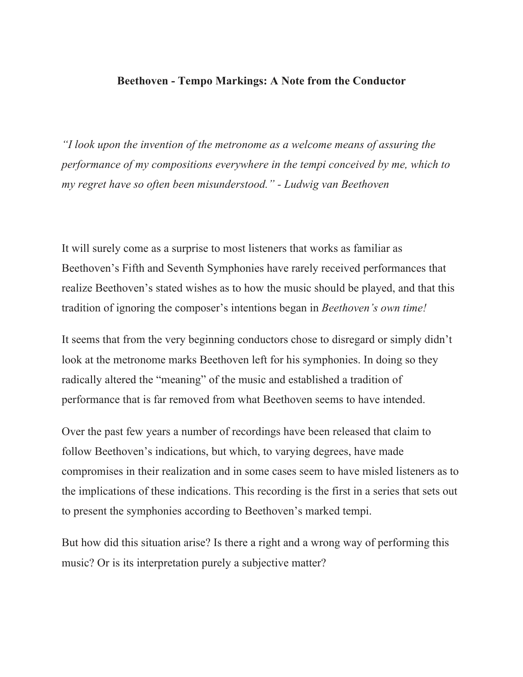## **Beethoven - Tempo Markings: A Note from the Conductor**

*"I look upon the invention of the metronome as a welcome means of assuring the performance of my compositions everywhere in the tempi conceived by me, which to my regret have so often been misunderstood." - Ludwig van Beethoven*

It will surely come as a surprise to most listeners that works as familiar as Beethoven's Fifth and Seventh Symphonies have rarely received performances that realize Beethoven's stated wishes as to how the music should be played, and that this tradition of ignoring the composer's intentions began in *Beethoven's own time!*

It seems that from the very beginning conductors chose to disregard or simply didn't look at the metronome marks Beethoven left for his symphonies. In doing so they radically altered the "meaning" of the music and established a tradition of performance that is far removed from what Beethoven seems to have intended.

Over the past few years a number of recordings have been released that claim to follow Beethoven's indications, but which, to varying degrees, have made compromises in their realization and in some cases seem to have misled listeners as to the implications of these indications. This recording is the first in a series that sets out to present the symphonies according to Beethoven's marked tempi.

But how did this situation arise? Is there a right and a wrong way of performing this music? Or is its interpretation purely a subjective matter?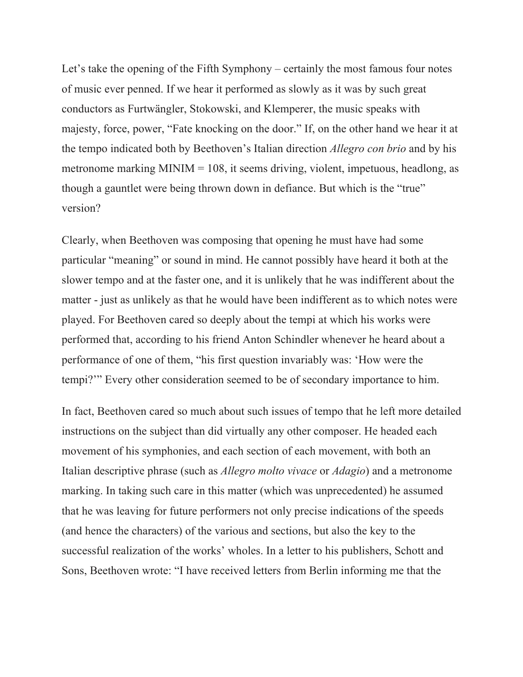Let's take the opening of the Fifth Symphony – certainly the most famous four notes of music ever penned. If we hear it performed as slowly as it was by such great conductors as Furtwängler, Stokowski, and Klemperer, the music speaks with majesty, force, power, "Fate knocking on the door." If, on the other hand we hear it at the tempo indicated both by Beethoven's Italian direction *Allegro con brio* and by his metronome marking MINIM = 108, it seems driving, violent, impetuous, headlong, as though a gauntlet were being thrown down in defiance. But which is the "true" version?

Clearly, when Beethoven was composing that opening he must have had some particular "meaning" or sound in mind. He cannot possibly have heard it both at the slower tempo and at the faster one, and it is unlikely that he was indifferent about the matter - just as unlikely as that he would have been indifferent as to which notes were played. For Beethoven cared so deeply about the tempi at which his works were performed that, according to his friend Anton Schindler whenever he heard about a performance of one of them, "his first question invariably was: 'How were the tempi?'" Every other consideration seemed to be of secondary importance to him.

In fact, Beethoven cared so much about such issues of tempo that he left more detailed instructions on the subject than did virtually any other composer. He headed each movement of his symphonies, and each section of each movement, with both an Italian descriptive phrase (such as *Allegro molto vivace* or *Adagio*) and a metronome marking. In taking such care in this matter (which was unprecedented) he assumed that he was leaving for future performers not only precise indications of the speeds (and hence the characters) of the various and sections, but also the key to the successful realization of the works' wholes. In a letter to his publishers, Schott and Sons, Beethoven wrote: "I have received letters from Berlin informing me that the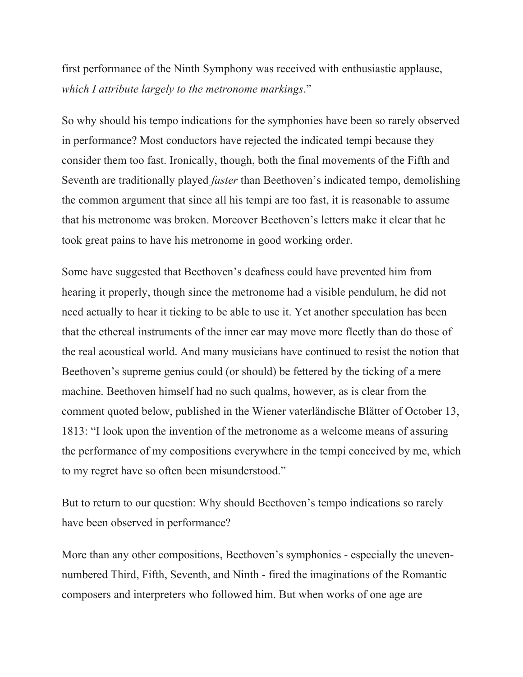first performance of the Ninth Symphony was received with enthusiastic applause, *which I attribute largely to the metronome markings*."

So why should his tempo indications for the symphonies have been so rarely observed in performance? Most conductors have rejected the indicated tempi because they consider them too fast. Ironically, though, both the final movements of the Fifth and Seventh are traditionally played *faster* than Beethoven's indicated tempo, demolishing the common argument that since all his tempi are too fast, it is reasonable to assume that his metronome was broken. Moreover Beethoven's letters make it clear that he took great pains to have his metronome in good working order.

Some have suggested that Beethoven's deafness could have prevented him from hearing it properly, though since the metronome had a visible pendulum, he did not need actually to hear it ticking to be able to use it. Yet another speculation has been that the ethereal instruments of the inner ear may move more fleetly than do those of the real acoustical world. And many musicians have continued to resist the notion that Beethoven's supreme genius could (or should) be fettered by the ticking of a mere machine. Beethoven himself had no such qualms, however, as is clear from the comment quoted below, published in the Wiener vaterländische Blätter of October 13, 1813: "I look upon the invention of the metronome as a welcome means of assuring the performance of my compositions everywhere in the tempi conceived by me, which to my regret have so often been misunderstood."

But to return to our question: Why should Beethoven's tempo indications so rarely have been observed in performance?

More than any other compositions, Beethoven's symphonies - especially the unevennumbered Third, Fifth, Seventh, and Ninth - fired the imaginations of the Romantic composers and interpreters who followed him. But when works of one age are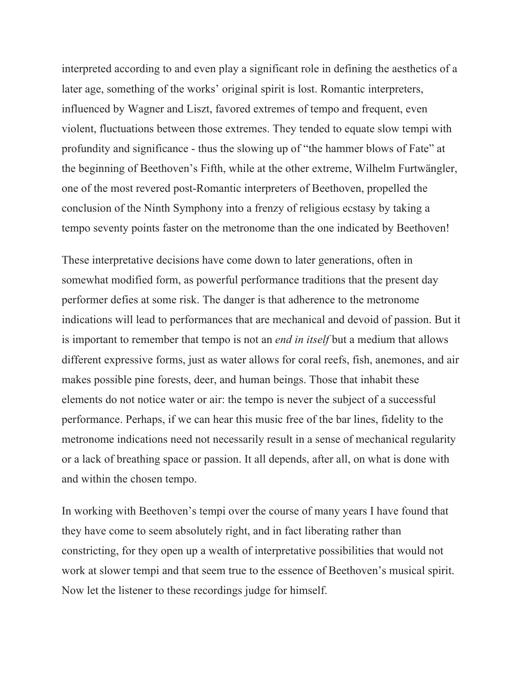interpreted according to and even play a significant role in defining the aesthetics of a later age, something of the works' original spirit is lost. Romantic interpreters, influenced by Wagner and Liszt, favored extremes of tempo and frequent, even violent, fluctuations between those extremes. They tended to equate slow tempi with profundity and significance - thus the slowing up of "the hammer blows of Fate" at the beginning of Beethoven's Fifth, while at the other extreme, Wilhelm Furtwängler, one of the most revered post-Romantic interpreters of Beethoven, propelled the conclusion of the Ninth Symphony into a frenzy of religious ecstasy by taking a tempo seventy points faster on the metronome than the one indicated by Beethoven!

These interpretative decisions have come down to later generations, often in somewhat modified form, as powerful performance traditions that the present day performer defies at some risk. The danger is that adherence to the metronome indications will lead to performances that are mechanical and devoid of passion. But it is important to remember that tempo is not an *end in itself* but a medium that allows different expressive forms, just as water allows for coral reefs, fish, anemones, and air makes possible pine forests, deer, and human beings. Those that inhabit these elements do not notice water or air: the tempo is never the subject of a successful performance. Perhaps, if we can hear this music free of the bar lines, fidelity to the metronome indications need not necessarily result in a sense of mechanical regularity or a lack of breathing space or passion. It all depends, after all, on what is done with and within the chosen tempo.

In working with Beethoven's tempi over the course of many years I have found that they have come to seem absolutely right, and in fact liberating rather than constricting, for they open up a wealth of interpretative possibilities that would not work at slower tempi and that seem true to the essence of Beethoven's musical spirit. Now let the listener to these recordings judge for himself.